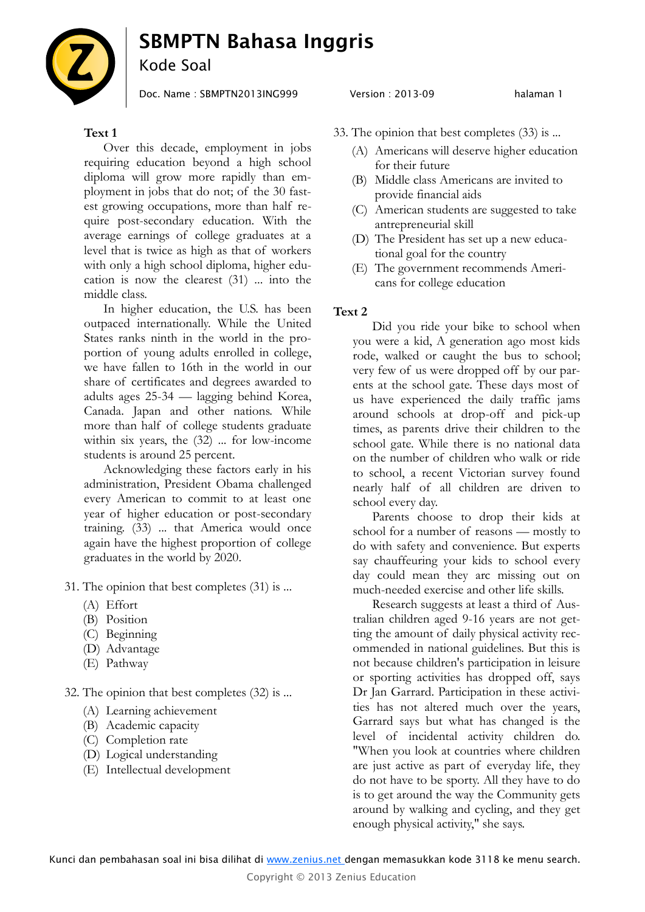# **SBMPTN Bahasa Inggris**



# Kode Soal

Doc. Name : SBMPTN2013ING999 Version : 2013-09

# **Text 1**

Over this decade, employment in jobs requiring education beyond a high school diploma will grow more rapidly than employment in jobs that do not; of the 30 fastest growing occupations, more than half require post-secondary education. With the average earnings of college graduates at a level that is twice as high as that of workers with only a high school diploma, higher education is now the clearest (31) ... into the middle class.

In higher education, the U.S. has been outpaced internationally. While the United States ranks ninth in the world in the proportion of young adults enrolled in college, we have fallen to 16th in the world in our share of certificates and degrees awarded to adults ages 25-34 — lagging behind Korea, Canada. Japan and other nations. While more than half of college students graduate within six years, the (32) ... for low-income students is around 25 percent.

Acknowledging these factors early in his administration, President Obama challenged every American to commit to at least one year of higher education or post-secondary training. (33) ... that America would once again have the highest proportion of college graduates in the world by 2020.

- 31. The opinion that best completes (31) is ...
	- (A) Effort
	- (B) Position
	- (C) Beginning
	- (D) Advantage
	- (E) Pathway

32. The opinion that best completes (32) is ...

- (A) Learning achievement
- (B) Academic capacity
- (C) Completion rate
- (D) Logical understanding
- (E) Intellectual development

### halaman 1

- 33. The opinion that best completes (33) is ...
	- (A) Americans will deserve higher education for their future
	- (B) Middle class Americans are invited to provide financial aids
	- (C) American students are suggested to take antrepreneurial skill
	- (D) The President has set up a new educational goal for the country
	- (E) The government recommends Americans for college education

# **Text 2**

Did you ride your bike to school when you were a kid, A generation ago most kids rode, walked or caught the bus to school; very few of us were dropped off by our parents at the school gate. These days most of us have experienced the daily traffic jams around schools at drop-off and pick-up times, as parents drive their children to the school gate. While there is no national data on the number of children who walk or ride to school, a recent Victorian survey found nearly half of all children are driven to school every day.

Parents choose to drop their kids at school for a number of reasons — mostly to do with safety and convenience. But experts say chauffeuring your kids to school every day could mean they arc missing out on much-needed exercise and other life skills.

Research suggests at least a third of Australian children aged 9-16 years are not getting the amount of daily physical activity recommended in national guidelines. But this is not because children's participation in leisure or sporting activities has dropped off, says Dr Jan Garrard. Participation in these activities has not altered much over the years, Garrard says but what has changed is the level of incidental activity children do. "When you look at countries where children are just active as part of everyday life, they do not have to be sporty. All they have to do is to get around the way the Community gets around by walking and cycling, and they get enough physical activity," she says.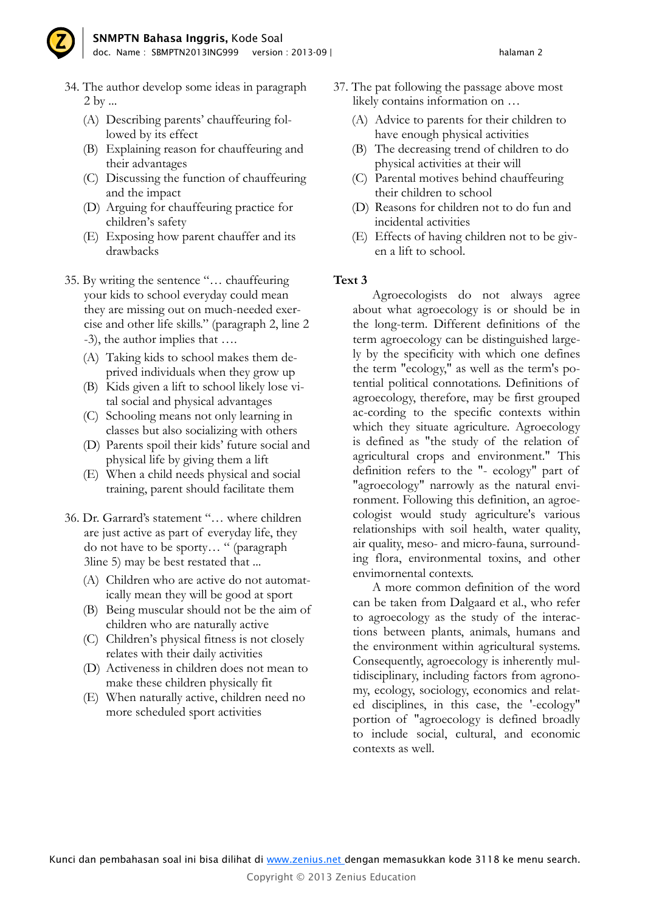

- 34. The author develop some ideas in paragraph 2 by ...
	- (A) Describing parents' chauffeuring followed by its effect
	- (B) Explaining reason for chauffeuring and their advantages
	- (C) Discussing the function of chauffeuring and the impact
	- (D) Arguing for chauffeuring practice for children's safety
	- (E) Exposing how parent chauffer and its drawbacks
- 35. By writing the sentence "… chauffeuring your kids to school everyday could mean they are missing out on much-needed exercise and other life skills." (paragraph 2, line 2 -3), the author implies that ….
	- (A) Taking kids to school makes them deprived individuals when they grow up
	- (B) Kids given a lift to school likely lose vital social and physical advantages
	- (C) Schooling means not only learning in classes but also socializing with others
	- (D) Parents spoil their kids' future social and physical life by giving them a lift
	- (E) When a child needs physical and social training, parent should facilitate them
- 36. Dr. Garrard's statement "… where children are just active as part of everyday life, they do not have to be sporty… " (paragraph 3line 5) may be best restated that ...
	- (A) Children who are active do not automatically mean they will be good at sport
	- (B) Being muscular should not be the aim of children who are naturally active
	- (C) Children's physical fitness is not closely relates with their daily activities
	- (D) Activeness in children does not mean to make these children physically fit
	- (E) When naturally active, children need no more scheduled sport activities
- 37. The pat following the passage above most likely contains information on …
	- (A) Advice to parents for their children to have enough physical activities
	- (B) The decreasing trend of children to do physical activities at their will
	- (C) Parental motives behind chauffeuring their children to school
	- (D) Reasons for children not to do fun and incidental activities
	- (E) Effects of having children not to be given a lift to school.

## **Text 3**

Agroecologists do not always agree about what agroecology is or should be in the long-term. Different definitions of the term agroecology can be distinguished largely by the specificity with which one defines the term "ecology," as well as the term's potential political connotations. Definitions of agroecology, therefore, may be first grouped ac-cording to the specific contexts within which they situate agriculture. Agroecology is defined as "the study of the relation of agricultural crops and environment." This definition refers to the "- ecology" part of "agroecology" narrowly as the natural environment. Following this definition, an agroecologist would study agriculture's various relationships with soil health, water quality, air quality, meso- and micro-fauna, surrounding flora, environmental toxins, and other envimornental contexts.

A more common definition of the word can be taken from Dalgaard et al., who refer to agroecology as the study of the interactions between plants, animals, humans and the environment within agricultural systems. Consequently, agroecology is inherently multidisciplinary, including factors from agronomy, ecology, sociology, economics and related disciplines, in this case, the '-ecology" portion of "agroecology is defined broadly to include social, cultural, and economic contexts as well.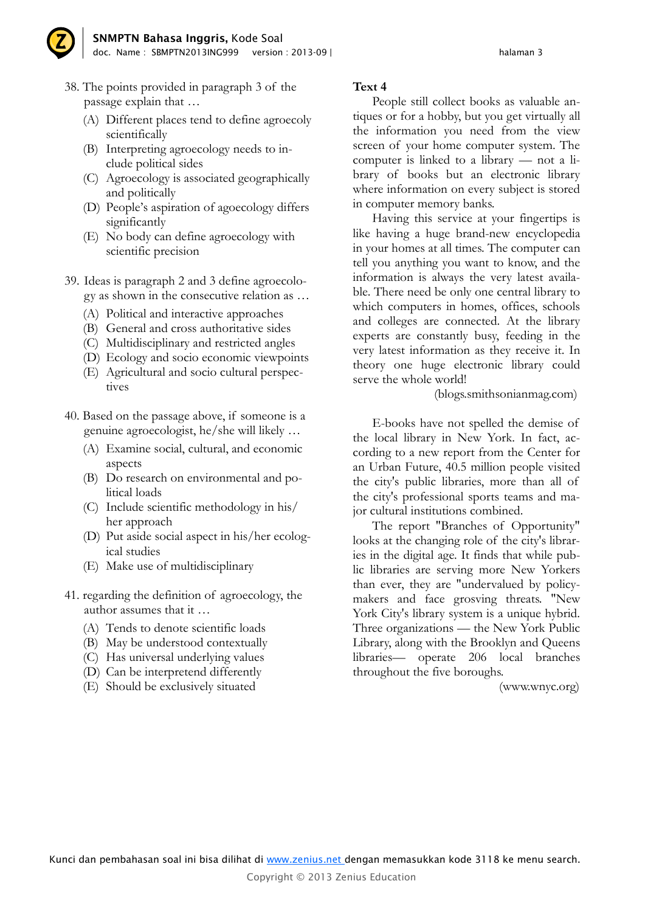

- 38. The points provided in paragraph 3 of the passage explain that …
	- (A) Different places tend to define agroecoly scientifically
	- (B) Interpreting agroecology needs to include political sides
	- (C) Agroecology is associated geographically and politically
	- (D) People's aspiration of agoecology differs significantly
	- (E) No body can define agroecology with scientific precision
- 39. Ideas is paragraph 2 and 3 define agroecology as shown in the consecutive relation as …
	- (A) Political and interactive approaches
	- (B) General and cross authoritative sides
	- (C) Multidisciplinary and restricted angles
	- (D) Ecology and socio economic viewpoints
	- (E) Agricultural and socio cultural perspectives
- 40. Based on the passage above, if someone is a genuine agroecologist, he/she will likely …
	- (A) Examine social, cultural, and economic aspects
	- (B) Do research on environmental and political loads
	- (C) Include scientific methodology in his/ her approach
	- (D) Put aside social aspect in his/her ecological studies
	- (E) Make use of multidisciplinary
- 41. regarding the definition of agroecology, the author assumes that it …
	- (A) Tends to denote scientific loads
	- (B) May be understood contextually
	- (C) Has universal underlying values
	- (D) Can be interpretend differently
	- (E) Should be exclusively situated

# **Text 4**

People still collect books as valuable antiques or for a hobby, but you get virtually all the information you need from the view screen of your home computer system. The computer is linked to a library — not a library of books but an electronic library where information on every subject is stored in computer memory banks.

Having this service at your fingertips is like having a huge brand-new encyclopedia in your homes at all times. The computer can tell you anything you want to know, and the information is always the very latest available. There need be only one central library to which computers in homes, offices, schools and colleges are connected. At the library experts are constantly busy, feeding in the very latest information as they receive it. In theory one huge electronic library could serve the whole world!

(blogs.smithsonianmag.com)

E-books have not spelled the demise of the local library in New York. In fact, according to a new report from the Center for an Urban Future, 40.5 million people visited the city's public libraries, more than all of the city's professional sports teams and major cultural institutions combined.

The report "Branches of Opportunity" looks at the changing role of the city's libraries in the digital age. It finds that while public libraries are serving more New Yorkers than ever, they are "undervalued by policymakers and face grosving threats. "New York City's library system is a unique hybrid. Three organizations — the New York Public Library, along with the Brooklyn and Queens libraries— operate 206 local branches throughout the five boroughs.

(www.wnyc.org)